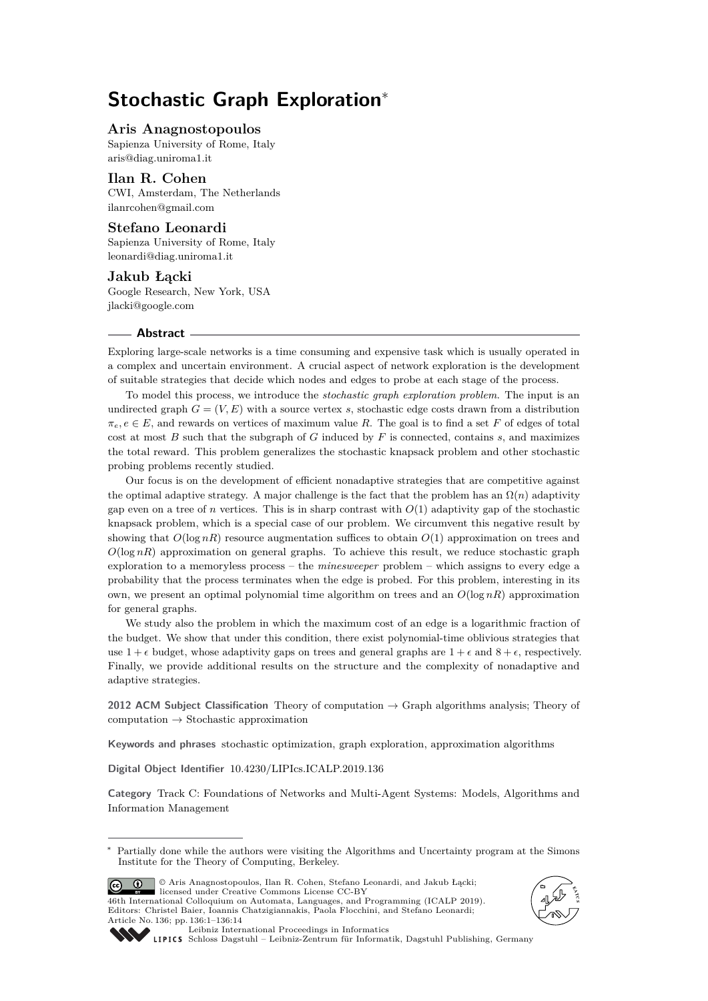# **Stochastic Graph Exploration**<sup>∗</sup>

## **Aris Anagnostopoulos**

Sapienza University of Rome, Italy [aris@diag.uniroma1.it](mailto:aris@diag.uniroma1.it)

# **Ilan R. Cohen**

CWI, Amsterdam, The Netherlands [ilanrcohen@gmail.com](mailto:ilanrcohen@gmail.com)

# **Stefano Leonardi**

Sapienza University of Rome, Italy [leonardi@diag.uniroma1.it](mailto:leonardi@diag.uniroma1.it)

#### **Jakub Łącki**

Google Research, New York, USA [jlacki@google.com](mailto:jlacki@google.com)

#### **Abstract**

Exploring large-scale networks is a time consuming and expensive task which is usually operated in a complex and uncertain environment. A crucial aspect of network exploration is the development of suitable strategies that decide which nodes and edges to probe at each stage of the process.

To model this process, we introduce the *stochastic graph exploration problem*. The input is an undirected graph  $G = (V, E)$  with a source vertex *s*, stochastic edge costs drawn from a distribution  $\pi_e, e \in E$ , and rewards on vertices of maximum value *R*. The goal is to find a set *F* of edges of total cost at most *B* such that the subgraph of *G* induced by *F* is connected, contains *s*, and maximizes the total reward. This problem generalizes the stochastic knapsack problem and other stochastic probing problems recently studied.

Our focus is on the development of efficient nonadaptive strategies that are competitive against the optimal adaptive strategy. A major challenge is the fact that the problem has an  $\Omega(n)$  adaptivity gap even on a tree of *n* vertices. This is in sharp contrast with  $O(1)$  adaptivity gap of the stochastic knapsack problem, which is a special case of our problem. We circumvent this negative result by showing that  $O(\log nR)$  resource augmentation suffices to obtain  $O(1)$  approximation on trees and  $O(\log nR)$  approximation on general graphs. To achieve this result, we reduce stochastic graph exploration to a memoryless process – the *minesweeper* problem – which assigns to every edge a probability that the process terminates when the edge is probed. For this problem, interesting in its own, we present an optimal polynomial time algorithm on trees and an  $O(\log nR)$  approximation for general graphs.

We study also the problem in which the maximum cost of an edge is a logarithmic fraction of the budget. We show that under this condition, there exist polynomial-time oblivious strategies that use  $1 + \epsilon$  budget, whose adaptivity gaps on trees and general graphs are  $1 + \epsilon$  and  $8 + \epsilon$ , respectively. Finally, we provide additional results on the structure and the complexity of nonadaptive and adaptive strategies.

**2012 ACM Subject Classification** Theory of computation → Graph algorithms analysis; Theory of computation → Stochastic approximation

**Keywords and phrases** stochastic optimization, graph exploration, approximation algorithms

**Digital Object Identifier** [10.4230/LIPIcs.ICALP.2019.136](https://doi.org/10.4230/LIPIcs.ICALP.2019.136)

**Category** Track C: Foundations of Networks and Multi-Agent Systems: Models, Algorithms and Information Management

© Aris Anagnostopoulos, Ilan R. Cohen, Stefano Leonardi, and Jakub Łącki;  $\boxed{6}$   $\boxed{0}$ licensed under Creative Commons License CC-BY 46th International Colloquium on Automata, Languages, and Programming (ICALP 2019). Editors: Christel Baier, Ioannis Chatzigiannakis, Paola Flocchini, and Stefano Leonardi; Article No. 136; pp. 136:1–136[:14](#page-13-0)





[Leibniz International Proceedings in Informatics](https://www.dagstuhl.de/lipics/)

[Schloss Dagstuhl – Leibniz-Zentrum für Informatik, Dagstuhl Publishing, Germany](https://www.dagstuhl.de)

Partially done while the authors were visiting the Algorithms and Uncertainty program at the Simons Institute for the Theory of Computing, Berkeley.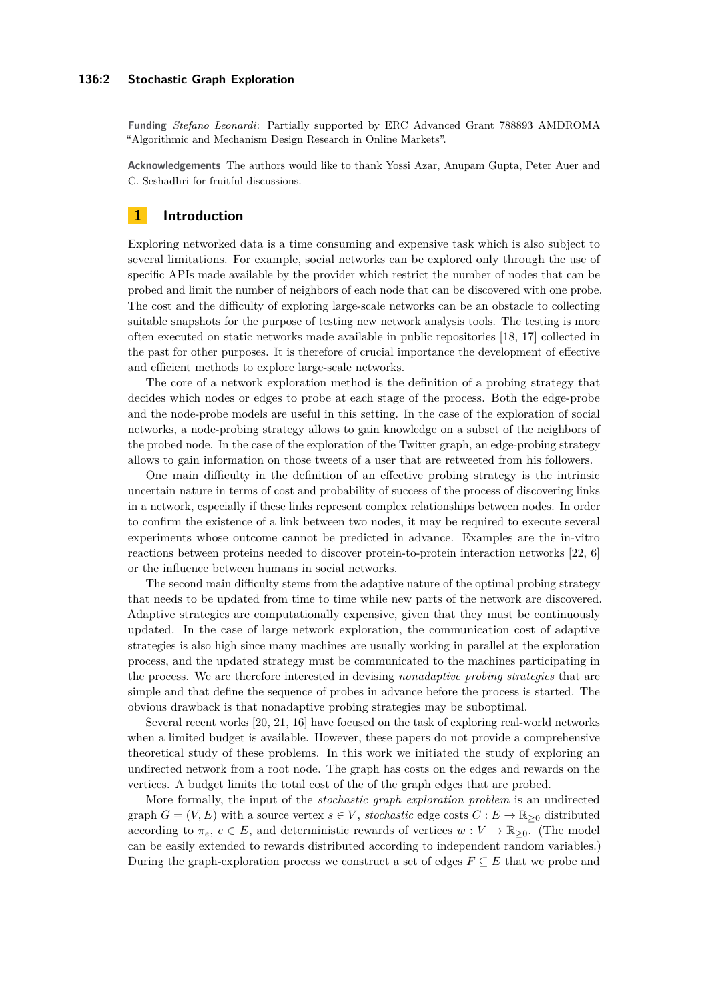#### **136:2 Stochastic Graph Exploration**

**Funding** *Stefano Leonardi*: Partially supported by ERC Advanced Grant 788893 AMDROMA "Algorithmic and Mechanism Design Research in Online Markets".

**Acknowledgements** The authors would like to thank Yossi Azar, Anupam Gupta, Peter Auer and C. Seshadhri for fruitful discussions.

# **1 Introduction**

Exploring networked data is a time consuming and expensive task which is also subject to several limitations. For example, social networks can be explored only through the use of specific APIs made available by the provider which restrict the number of nodes that can be probed and limit the number of neighbors of each node that can be discovered with one probe. The cost and the difficulty of exploring large-scale networks can be an obstacle to collecting suitable snapshots for the purpose of testing new network analysis tools. The testing is more often executed on static networks made available in public repositories [\[18,](#page-13-1) [17\]](#page-13-2) collected in the past for other purposes. It is therefore of crucial importance the development of effective and efficient methods to explore large-scale networks.

The core of a network exploration method is the definition of a probing strategy that decides which nodes or edges to probe at each stage of the process. Both the edge-probe and the node-probe models are useful in this setting. In the case of the exploration of social networks, a node-probing strategy allows to gain knowledge on a subset of the neighbors of the probed node. In the case of the exploration of the Twitter graph, an edge-probing strategy allows to gain information on those tweets of a user that are retweeted from his followers.

One main difficulty in the definition of an effective probing strategy is the intrinsic uncertain nature in terms of cost and probability of success of the process of discovering links in a network, especially if these links represent complex relationships between nodes. In order to confirm the existence of a link between two nodes, it may be required to execute several experiments whose outcome cannot be predicted in advance. Examples are the in-vitro reactions between proteins needed to discover protein-to-protein interaction networks [\[22,](#page-13-3) [6\]](#page-12-0) or the influence between humans in social networks.

The second main difficulty stems from the adaptive nature of the optimal probing strategy that needs to be updated from time to time while new parts of the network are discovered. Adaptive strategies are computationally expensive, given that they must be continuously updated. In the case of large network exploration, the communication cost of adaptive strategies is also high since many machines are usually working in parallel at the exploration process, and the updated strategy must be communicated to the machines participating in the process. We are therefore interested in devising *nonadaptive probing strategies* that are simple and that define the sequence of probes in advance before the process is started. The obvious drawback is that nonadaptive probing strategies may be suboptimal.

Several recent works [\[20,](#page-13-4) [21,](#page-13-5) [16\]](#page-13-6) have focused on the task of exploring real-world networks when a limited budget is available. However, these papers do not provide a comprehensive theoretical study of these problems. In this work we initiated the study of exploring an undirected network from a root node. The graph has costs on the edges and rewards on the vertices. A budget limits the total cost of the of the graph edges that are probed.

More formally, the input of the *stochastic graph exploration problem* is an undirected graph  $G = (V, E)$  with a source vertex  $s \in V$ , *stochastic* edge costs  $C : E \to \mathbb{R}_{\geq 0}$  distributed according to  $\pi_e$ ,  $e \in E$ , and deterministic rewards of vertices  $w: V \to \mathbb{R}_{\geq 0}$ . (The model can be easily extended to rewards distributed according to independent random variables.) During the graph-exploration process we construct a set of edges  $F \subseteq E$  that we probe and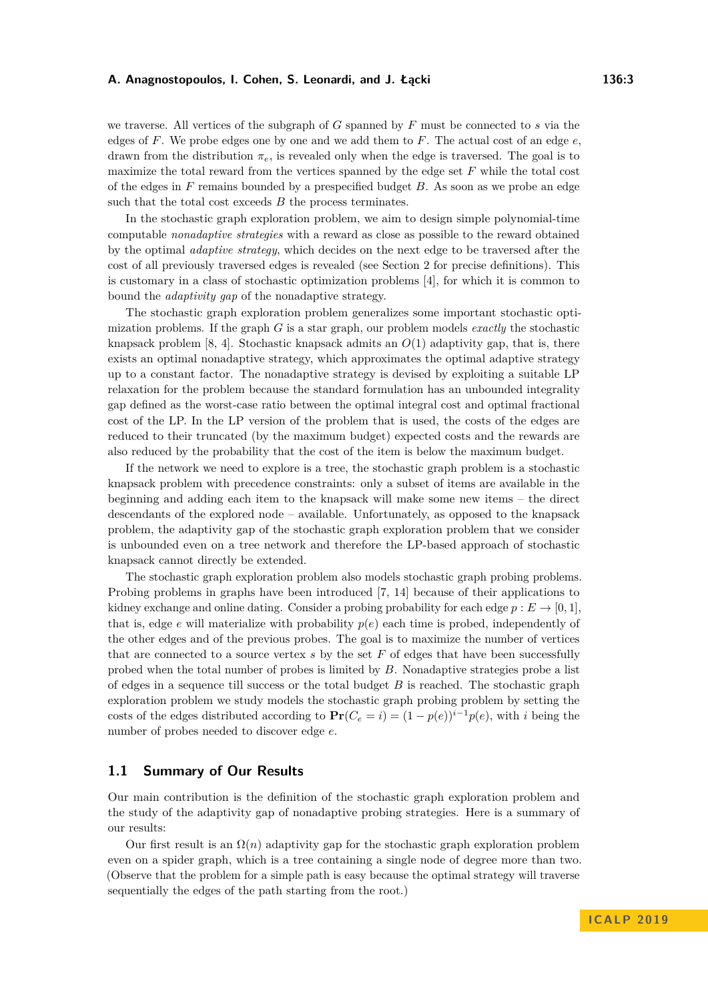we traverse. All vertices of the subgraph of *G* spanned by *F* must be connected to *s* via the edges of *F*. We probe edges one by one and we add them to *F*. The actual cost of an edge *e*, drawn from the distribution *πe*, is revealed only when the edge is traversed. The goal is to maximize the total reward from the vertices spanned by the edge set *F* while the total cost of the edges in *F* remains bounded by a prespecified budget *B*. As soon as we probe an edge such that the total cost exceeds *B* the process terminates.

In the stochastic graph exploration problem, we aim to design simple polynomial-time computable *nonadaptive strategies* with a reward as close as possible to the reward obtained by the optimal *adaptive strategy*, which decides on the next edge to be traversed after the cost of all previously traversed edges is revealed (see Section [2](#page-4-0) for precise definitions). This is customary in a class of stochastic optimization problems [\[4\]](#page-12-1), for which it is common to bound the *adaptivity gap* of the nonadaptive strategy.

The stochastic graph exploration problem generalizes some important stochastic optimization problems. If the graph *G* is a star graph, our problem models *exactly* the stochastic knapsack problem [\[8,](#page-12-2) [4\]](#page-12-1). Stochastic knapsack admits an *O*(1) adaptivity gap, that is, there exists an optimal nonadaptive strategy, which approximates the optimal adaptive strategy up to a constant factor. The nonadaptive strategy is devised by exploiting a suitable LP relaxation for the problem because the standard formulation has an unbounded integrality gap defined as the worst-case ratio between the optimal integral cost and optimal fractional cost of the LP. In the LP version of the problem that is used, the costs of the edges are reduced to their truncated (by the maximum budget) expected costs and the rewards are also reduced by the probability that the cost of the item is below the maximum budget.

If the network we need to explore is a tree, the stochastic graph problem is a stochastic knapsack problem with precedence constraints: only a subset of items are available in the beginning and adding each item to the knapsack will make some new items – the direct descendants of the explored node – available. Unfortunately, as opposed to the knapsack problem, the adaptivity gap of the stochastic graph exploration problem that we consider is unbounded even on a tree network and therefore the LP-based approach of stochastic knapsack cannot directly be extended.

The stochastic graph exploration problem also models stochastic graph probing problems. Probing problems in graphs have been introduced [\[7,](#page-12-3) [14\]](#page-13-7) because of their applications to kidney exchange and online dating. Consider a probing probability for each edge  $p : E \to [0, 1]$ , that is, edge *e* will materialize with probability  $p(e)$  each time is probed, independently of the other edges and of the previous probes. The goal is to maximize the number of vertices that are connected to a source vertex *s* by the set *F* of edges that have been successfully probed when the total number of probes is limited by *B*. Nonadaptive strategies probe a list of edges in a sequence till success or the total budget *B* is reached. The stochastic graph exploration problem we study models the stochastic graph probing problem by setting the costs of the edges distributed according to  $\mathbf{Pr}(C_e = i) = (1 - p(e))^{i-1}p(e)$ , with *i* being the number of probes needed to discover edge *e*.

# **1.1 Summary of Our Results**

Our main contribution is the definition of the stochastic graph exploration problem and the study of the adaptivity gap of nonadaptive probing strategies. Here is a summary of our results:

Our first result is an  $\Omega(n)$  adaptivity gap for the stochastic graph exploration problem even on a spider graph, which is a tree containing a single node of degree more than two. (Observe that the problem for a simple path is easy because the optimal strategy will traverse sequentially the edges of the path starting from the root.)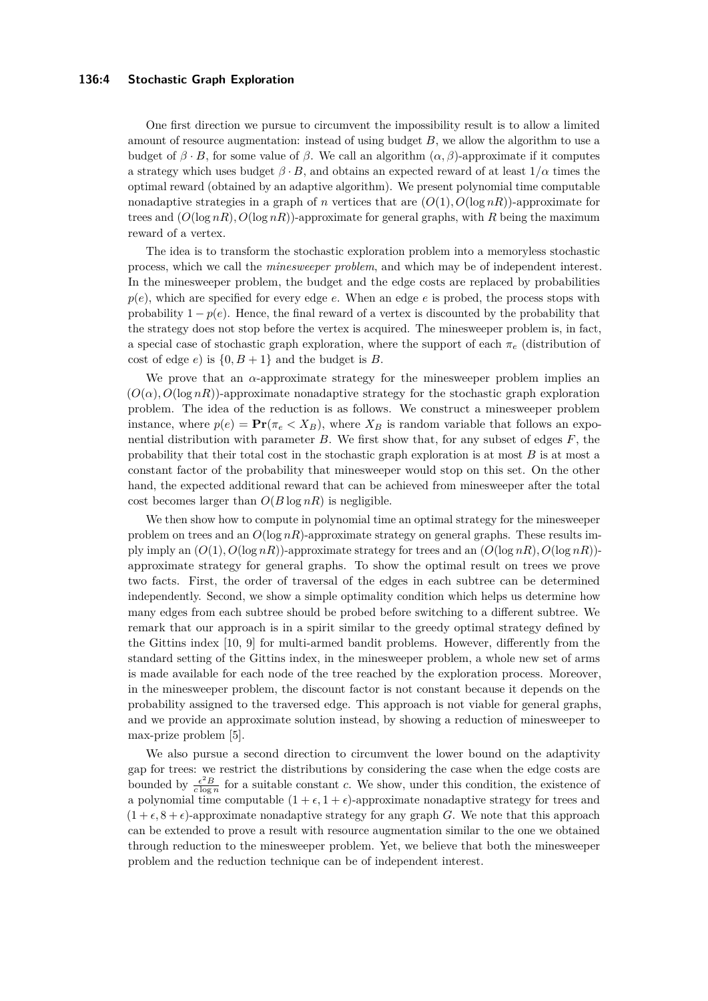#### **136:4 Stochastic Graph Exploration**

One first direction we pursue to circumvent the impossibility result is to allow a limited amount of resource augmentation: instead of using budget *B*, we allow the algorithm to use a budget of  $\beta \cdot B$ , for some value of  $\beta$ . We call an algorithm  $(\alpha, \beta)$ -approximate if it computes a strategy which uses budget  $\beta \cdot B$ , and obtains an expected reward of at least  $1/\alpha$  times the optimal reward (obtained by an adaptive algorithm). We present polynomial time computable nonadaptive strategies in a graph of *n* vertices that are  $(O(1), O(\log nR))$ -approximate for trees and  $(O(\log nR), O(\log nR))$ -approximate for general graphs, with R being the maximum reward of a vertex.

The idea is to transform the stochastic exploration problem into a memoryless stochastic process, which we call the *minesweeper problem*, and which may be of independent interest. In the minesweeper problem, the budget and the edge costs are replaced by probabilities  $p(e)$ , which are specified for every edge *e*. When an edge *e* is probed, the process stops with probability  $1 - p(e)$ . Hence, the final reward of a vertex is discounted by the probability that the strategy does not stop before the vertex is acquired. The minesweeper problem is, in fact, a special case of stochastic graph exploration, where the support of each  $\pi_e$  (distribution of cost of edge *e*) is  $\{0, B+1\}$  and the budget is *B*.

We prove that an  $\alpha$ -approximate strategy for the minesweeper problem implies an  $(O(\alpha), O(\log nR))$ -approximate nonadaptive strategy for the stochastic graph exploration problem. The idea of the reduction is as follows. We construct a minesweeper problem instance, where  $p(e) = \Pr(\pi_e < X_B)$ , where  $X_B$  is random variable that follows an exponential distribution with parameter *B*. We first show that, for any subset of edges *F*, the probability that their total cost in the stochastic graph exploration is at most *B* is at most a constant factor of the probability that minesweeper would stop on this set. On the other hand, the expected additional reward that can be achieved from minesweeper after the total cost becomes larger than  $O(B \log nR)$  is negligible.

We then show how to compute in polynomial time an optimal strategy for the minesweeper problem on trees and an  $O(\log nR)$ -approximate strategy on general graphs. These results imply imply an  $(O(1), O(\log nR))$ -approximate strategy for trees and an  $(O(\log nR), O(\log nR))$ approximate strategy for general graphs. To show the optimal result on trees we prove two facts. First, the order of traversal of the edges in each subtree can be determined independently. Second, we show a simple optimality condition which helps us determine how many edges from each subtree should be probed before switching to a different subtree. We remark that our approach is in a spirit similar to the greedy optimal strategy defined by the Gittins index [\[10,](#page-12-4) [9\]](#page-12-5) for multi-armed bandit problems. However, differently from the standard setting of the Gittins index, in the minesweeper problem, a whole new set of arms is made available for each node of the tree reached by the exploration process. Moreover, in the minesweeper problem, the discount factor is not constant because it depends on the probability assigned to the traversed edge. This approach is not viable for general graphs, and we provide an approximate solution instead, by showing a reduction of minesweeper to max-prize problem [\[5\]](#page-12-6).

We also pursue a second direction to circumvent the lower bound on the adaptivity gap for trees: we restrict the distributions by considering the case when the edge costs are bounded by  $\frac{\epsilon^2 B}{c \log n}$  for a suitable constant *c*. We show, under this condition, the existence of a polynomial time computable  $(1 + \epsilon, 1 + \epsilon)$ -approximate nonadaptive strategy for trees and  $(1 + \epsilon, 8 + \epsilon)$ -approximate nonadaptive strategy for any graph *G*. We note that this approach can be extended to prove a result with resource augmentation similar to the one we obtained through reduction to the minesweeper problem. Yet, we believe that both the minesweeper problem and the reduction technique can be of independent interest.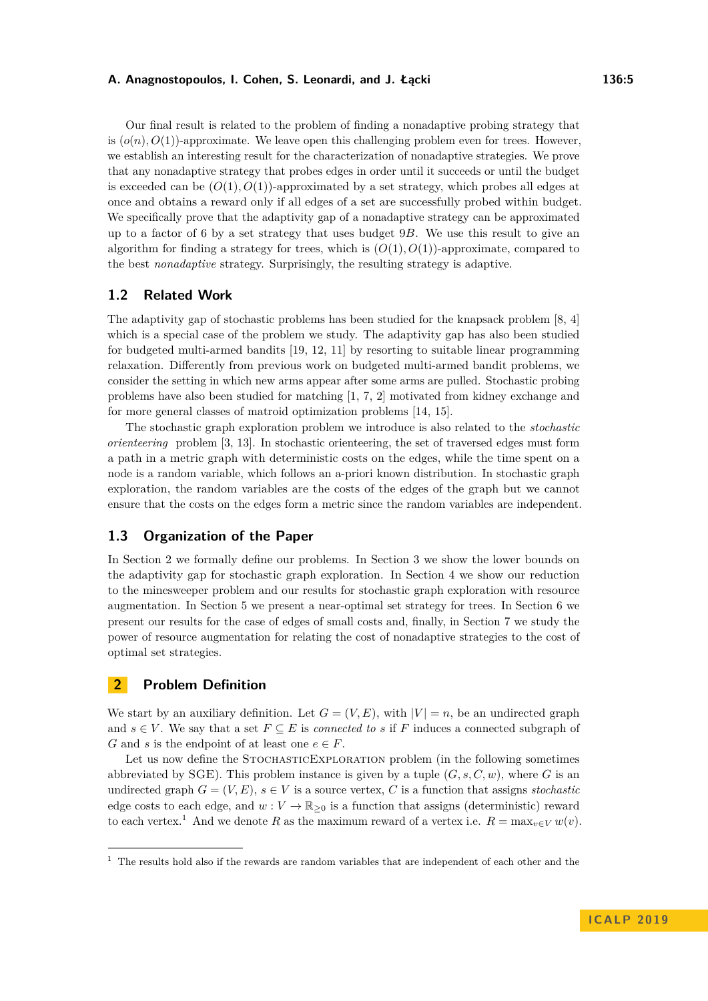Our final result is related to the problem of finding a nonadaptive probing strategy that is  $(o(n), O(1))$ -approximate. We leave open this challenging problem even for trees. However, we establish an interesting result for the characterization of nonadaptive strategies. We prove that any nonadaptive strategy that probes edges in order until it succeeds or until the budget is exceeded can be  $(O(1), O(1))$ -approximated by a set strategy, which probes all edges at once and obtains a reward only if all edges of a set are successfully probed within budget. We specifically prove that the adaptivity gap of a nonadaptive strategy can be approximated up to a factor of 6 by a set strategy that uses budget 9*B*. We use this result to give an algorithm for finding a strategy for trees, which is  $(O(1), O(1))$ -approximate, compared to the best *nonadaptive* strategy. Surprisingly, the resulting strategy is adaptive.

# **1.2 Related Work**

The adaptivity gap of stochastic problems has been studied for the knapsack problem [\[8,](#page-12-2) [4\]](#page-12-1) which is a special case of the problem we study. The adaptivity gap has also been studied for budgeted multi-armed bandits [\[19,](#page-13-8) [12,](#page-12-7) [11\]](#page-12-8) by resorting to suitable linear programming relaxation. Differently from previous work on budgeted multi-armed bandit problems, we consider the setting in which new arms appear after some arms are pulled. Stochastic probing problems have also been studied for matching [\[1,](#page-12-9) [7,](#page-12-3) [2\]](#page-12-10) motivated from kidney exchange and for more general classes of matroid optimization problems [\[14,](#page-13-7) [15\]](#page-13-9).

The stochastic graph exploration problem we introduce is also related to the *stochastic orienteering* problem [\[3,](#page-12-11) [13\]](#page-12-12). In stochastic orienteering, the set of traversed edges must form a path in a metric graph with deterministic costs on the edges, while the time spent on a node is a random variable, which follows an a-priori known distribution. In stochastic graph exploration, the random variables are the costs of the edges of the graph but we cannot ensure that the costs on the edges form a metric since the random variables are independent.

# **1.3 Organization of the Paper**

In Section [2](#page-4-0) we formally define our problems. In Section [3](#page-6-0) we show the lower bounds on the adaptivity gap for stochastic graph exploration. In Section [4](#page-6-1) we show our reduction to the minesweeper problem and our results for stochastic graph exploration with resource augmentation. In Section [5](#page-9-0) we present a near-optimal set strategy for trees. In Section [6](#page-9-1) we present our results for the case of edges of small costs and, finally, in Section [7](#page-10-0) we study the power of resource augmentation for relating the cost of nonadaptive strategies to the cost of optimal set strategies.

# <span id="page-4-0"></span>**2 Problem Definition**

We start by an auxiliary definition. Let  $G = (V, E)$ , with  $|V| = n$ , be an undirected graph and  $s \in V$ . We say that a set  $F \subseteq E$  is *connected to s* if *F* induces a connected subgraph of *G* and *s* is the endpoint of at least one  $e \in F$ .

Let us now define the STOCHASTICEXPLORATION problem (in the following sometimes abbreviated by SGE). This problem instance is given by a tuple  $(G, s, C, w)$ , where *G* is an undirected graph  $G = (V, E)$ ,  $s \in V$  is a source vertex, C is a function that assigns *stochastic* edge costs to each edge, and  $w: V \to \mathbb{R}_{\geq 0}$  is a function that assigns (deterministic) reward to each vertex.<sup>[1](#page-4-1)</sup> And we denote R as the maximum reward of a vertex i.e.  $R = \max_{v \in V} w(v)$ .

<span id="page-4-1"></span> $1$  The results hold also if the rewards are random variables that are independent of each other and the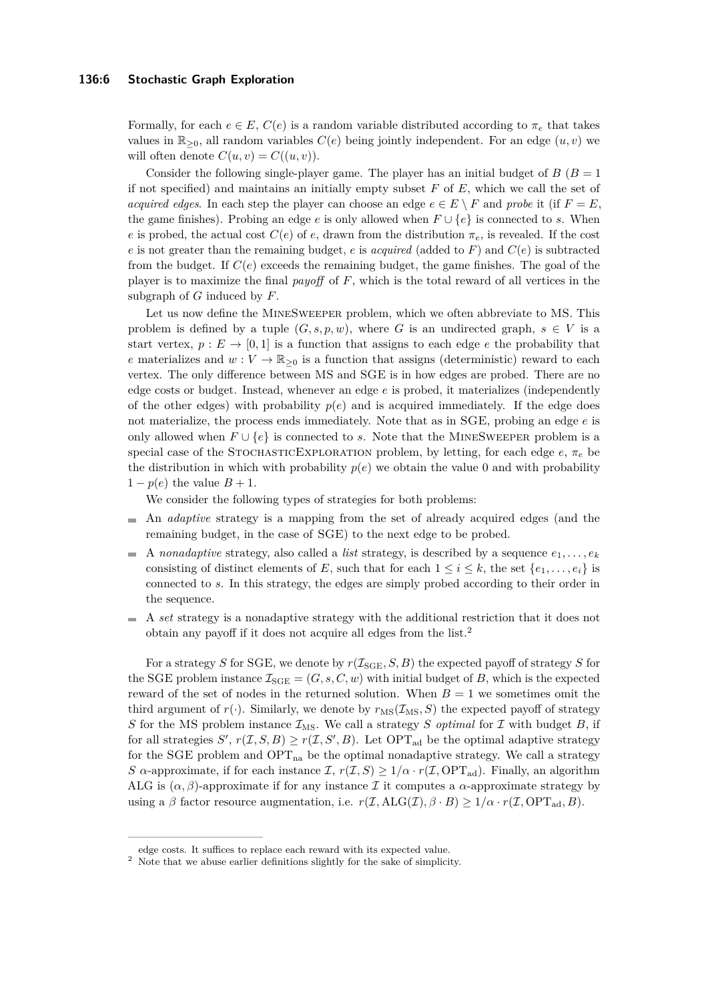#### **136:6 Stochastic Graph Exploration**

Formally, for each  $e \in E$ ,  $C(e)$  is a random variable distributed according to  $\pi_e$  that takes values in  $\mathbb{R}_{\geq 0}$ , all random variables  $C(e)$  being jointly independent. For an edge  $(u, v)$  we will often denote  $C(u, v) = C((u, v))$ .

Consider the following single-player game. The player has an initial budget of  $B(B = 1)$ if not specified) and maintains an initially empty subset *F* of *E*, which we call the set of *acquired edges*. In each step the player can choose an edge  $e \in E \setminus F$  and probe it (if  $F = E$ , the game finishes). Probing an edge *e* is only allowed when  $F \cup \{e\}$  is connected to *s*. When *e* is probed, the actual cost  $C(e)$  of *e*, drawn from the distribution  $\pi_e$ , is revealed. If the cost *e* is not greater than the remaining budget, *e* is *acquired* (added to *F*) and  $C(e)$  is subtracted from the budget. If  $C(e)$  exceeds the remaining budget, the game finishes. The goal of the player is to maximize the final *payoff* of *F*, which is the total reward of all vertices in the subgraph of *G* induced by *F*.

Let us now define the MINESWEEPER problem, which we often abbreviate to MS. This problem is defined by a tuple  $(G, s, p, w)$ , where *G* is an undirected graph,  $s \in V$  is a start vertex,  $p : E \to [0,1]$  is a function that assigns to each edge *e* the probability that *e* materializes and  $w: V \to \mathbb{R}_{\geq 0}$  is a function that assigns (deterministic) reward to each vertex. The only difference between MS and SGE is in how edges are probed. There are no edge costs or budget. Instead, whenever an edge *e* is probed, it materializes (independently of the other edges) with probability  $p(e)$  and is acquired immediately. If the edge does not materialize, the process ends immediately. Note that as in SGE, probing an edge *e* is only allowed when *F* ∪ {*e*} is connected to *s*. Note that the MineSweeper problem is a special case of the STOCHASTICEXPLORATION problem, by letting, for each edge  $e, \pi_e$  be the distribution in which with probability  $p(e)$  we obtain the value 0 and with probability  $1 - p(e)$  the value  $B + 1$ .

We consider the following types of strategies for both problems:

- $\bar{a}$ An *adaptive* strategy is a mapping from the set of already acquired edges (and the remaining budget, in the case of SGE) to the next edge to be probed.
- A *nonadaptive* strategy, also called a *list* strategy, is described by a sequence  $e_1, \ldots, e_k$ consisting of distinct elements of *E*, such that for each  $1 \leq i \leq k$ , the set  $\{e_1, \ldots, e_i\}$  is connected to *s*. In this strategy, the edges are simply probed according to their order in the sequence.
- A *set* strategy is a nonadaptive strategy with the additional restriction that it does not obtain any payoff if it does not acquire all edges from the list.[2](#page-5-0)

For a strategy *S* for SGE, we denote by  $r(\mathcal{I}_{\text{SGE}}, S, B)$  the expected payoff of strategy *S* for the SGE problem instance  $\mathcal{I}_{\text{SGE}} = (G, s, C, w)$  with initial budget of *B*, which is the expected reward of the set of nodes in the returned solution. When  $B = 1$  we sometimes omit the third argument of  $r(.)$ . Similarly, we denote by  $r_{\text{MS}}(\mathcal{I}_{\text{MS}}, S)$  the expected payoff of strategy *S* for the MS problem instance  $\mathcal{I}_{MS}$ . We call a strategy *S optimal* for *I* with budget *B*, if for all strategies  $S'$ ,  $r(\mathcal{I}, S, B) \geq r(\mathcal{I}, S', B)$ . Let OPT<sub>ad</sub> be the optimal adaptive strategy for the SGE problem and  $OPT_{na}$  be the optimal nonadaptive strategy. We call a strategy *S*  $\alpha$ -approximate, if for each instance  $\mathcal{I}, r(\mathcal{I}, S) \geq 1/\alpha \cdot r(\mathcal{I}, \text{OPT}_{ad})$ . Finally, an algorithm ALG is  $(\alpha, \beta)$ -approximate if for any instance I it computes a  $\alpha$ -approximate strategy by using a  $\beta$  factor resource augmentation, i.e.  $r(\mathcal{I}, \text{ALG}(\mathcal{I}), \beta \cdot B) \geq 1/\alpha \cdot r(\mathcal{I}, \text{OPT}_{ad}, B)$ .

edge costs. It suffices to replace each reward with its expected value.

<span id="page-5-0"></span> $^{\rm 2}$  Note that we abuse earlier definitions slightly for the sake of simplicity.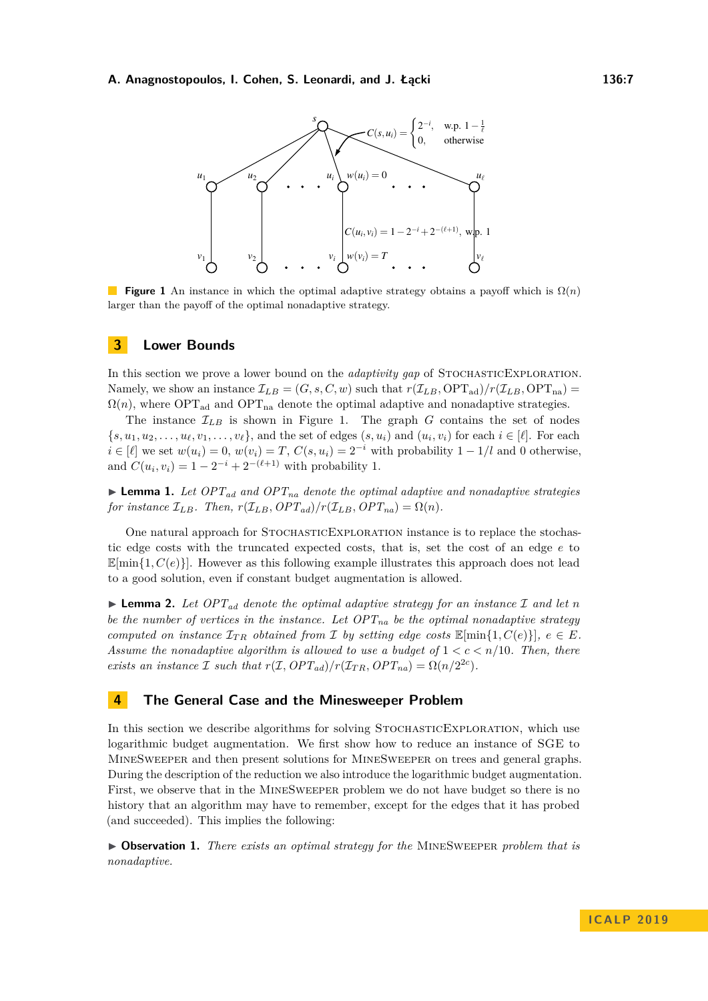<span id="page-6-2"></span>

**Figure 1** An instance in which the optimal adaptive strategy obtains a payoff which is Ω(*n*) larger than the payoff of the optimal nonadaptive strategy.

#### <span id="page-6-0"></span>**3 Lower Bounds**

In this section we prove a lower bound on the *adaptivity gap* of STOCHASTICEXPLORATION. Namely, we show an instance  $\mathcal{I}_{LB} = (G, s, C, w)$  such that  $r(\mathcal{I}_{LB}, \text{OPT}_{ad})/r(\mathcal{I}_{LB}, \text{OPT}_{na}) =$  $\Omega(n)$ , where OPT<sub>ad</sub> and OPT<sub>na</sub> denote the optimal adaptive and nonadaptive strategies.

The instance  $\mathcal{I}_{LB}$  is shown in Figure [1.](#page-6-2) The graph *G* contains the set of nodes  ${s, u_1, u_2, \ldots, u_\ell, v_1, \ldots, v_\ell}$ , and the set of edges  $(s, u_i)$  and  $(u_i, v_i)$  for each  $i \in [\ell]$ . For each  $i \in [\ell]$  we set  $w(u_i) = 0$ ,  $w(v_i) = T$ ,  $C(s, u_i) = 2^{-i}$  with probability  $1 - 1/l$  and 0 otherwise. and  $C(u_i, v_i) = 1 - 2^{-i} + 2^{-(\ell+1)}$  with probability 1.

 $\blacktriangleright$  **Lemma 1.** Let  $OPT_{ad}$  and  $OPT_{na}$  denote the optimal adaptive and nonadaptive strategies *for instance*  $\mathcal{I}_{LB}$ *. Then,*  $r(\mathcal{I}_{LB}, OPT_{ad})/r(\mathcal{I}_{LB}, OPT_{na}) = \Omega(n)$ *.* 

One natural approach for StochasticExploration instance is to replace the stochastic edge costs with the truncated expected costs, that is, set the cost of an edge *e* to  $\mathbb{E}[\min\{1, C(e)\}]$ . However as this following example illustrates this approach does not lead to a good solution, even if constant budget augmentation is allowed.

**I Lemma 2.** Let  $OPT_{ad}$  denote the optimal adaptive strategy for an instance  $\mathcal{I}$  and let  $n$ *be the number of vertices in the instance. Let*  $OPT_{na}$  *be the optimal nonadaptive strategy computed on instance*  $\mathcal{I}_{TR}$  *obtained from*  $\mathcal{I}$  *by setting edge costs*  $\mathbb{E}[\min\{1, C(e)\}]$ *, e*  $\in$  *E. Assume the nonadaptive algorithm is allowed to use a budget of*  $1 < c < n/10$ *. Then, there exists an instance*  $\mathcal I$  *such that*  $r(\mathcal I, OPT_{ad})/r(\mathcal I_{TR}, OPT_{na}) = \Omega(n/2^{2c})$ *.* 

# <span id="page-6-1"></span>**4 The General Case and the Minesweeper Problem**

In this section we describe algorithms for solving STOCHASTICEXPLORATION, which use logarithmic budget augmentation. We first show how to reduce an instance of SGE to MineSweeper and then present solutions for MineSweeper on trees and general graphs. During the description of the reduction we also introduce the logarithmic budget augmentation. First, we observe that in the MineSweeper problem we do not have budget so there is no history that an algorithm may have to remember, except for the edges that it has probed (and succeeded). This implies the following:

<span id="page-6-3"></span>▶ Observation 1. *There exists an optimal strategy for the* MINESWEEPER *problem that is nonadaptive.*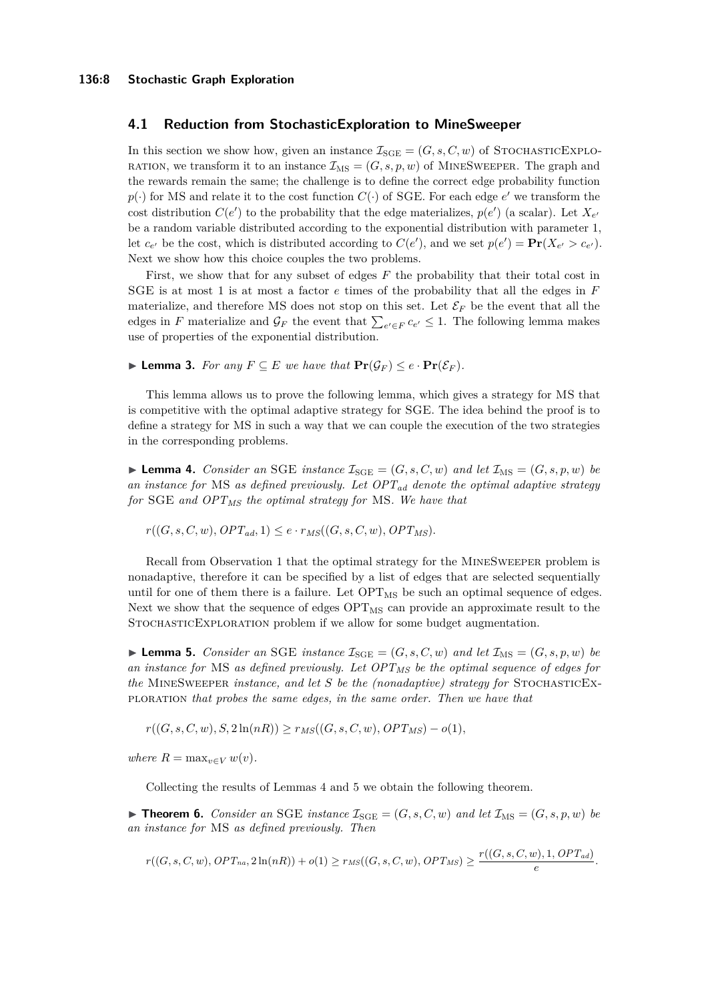## **4.1 Reduction from StochasticExploration to MineSweeper**

In this section we show how, given an instance  $\mathcal{I}_{SGE} = (G, s, C, w)$  of STOCHASTICEXPLO-RATION, we transform it to an instance  $\mathcal{I}_{\text{MS}} = (G, s, p, w)$  of MINESWEEPER. The graph and the rewards remain the same; the challenge is to define the correct edge probability function  $p(\cdot)$  for MS and relate it to the cost function  $C(\cdot)$  of SGE. For each edge  $e'$  we transform the cost distribution  $C(e')$  to the probability that the edge materializes,  $p(e')$  (a scalar). Let  $X_{e'}$ be a random variable distributed according to the exponential distribution with parameter 1, let  $c_{e'}$  be the cost, which is distributed according to  $C(e')$ , and we set  $p(e') = \mathbf{Pr}(X_{e'} > c_{e'})$ . Next we show how this choice couples the two problems.

First, we show that for any subset of edges *F* the probability that their total cost in SGE is at most 1 is at most a factor *e* times of the probability that all the edges in *F* materialize, and therefore MS does not stop on this set. Let  $\mathcal{E}_F$  be the event that all the edges in *F* materialize and  $\mathcal{G}_F$  the event that  $\sum_{e' \in F} c_{e'} \leq 1$ . The following lemma makes use of properties of the exponential distribution.

▶ **Lemma 3.** *For any*  $F ⊆ E$  *we have that*  $Pr(\mathcal{G}_F) ≤ e \cdot Pr(\mathcal{E}_F)$ *.* 

This lemma allows us to prove the following lemma, which gives a strategy for MS that is competitive with the optimal adaptive strategy for SGE. The idea behind the proof is to define a strategy for MS in such a way that we can couple the execution of the two strategies in the corresponding problems.

<span id="page-7-0"></span>**Lemma 4.** *Consider an* SGE *instance*  $\mathcal{I}_{\text{SGE}} = (G, s, C, w)$  *and let*  $\mathcal{I}_{\text{MS}} = (G, s, p, w)$  *be an instance for* MS *as defined previously. Let OPTad denote the optimal adaptive strategy for* SGE *and OPTMS the optimal strategy for* MS*. We have that*

 $r((G, s, C, w), OPT_{ad}, 1) \leq e \cdot r_{MS}((G, s, C, w), OPT_{MS})$ .

Recall from Observation [1](#page-6-3) that the optimal strategy for the MineSweeper problem is nonadaptive, therefore it can be specified by a list of edges that are selected sequentially until for one of them there is a failure. Let  $\text{OPT}_{\text{MS}}$  be such an optimal sequence of edges. Next we show that the sequence of edges  $\text{OPT}_{\text{MS}}$  can provide an approximate result to the StochasticExploration problem if we allow for some budget augmentation.

<span id="page-7-1"></span>**Lemma 5.** *Consider an* SGE *instance*  $\mathcal{I}_{\text{SGE}} = (G, s, C, w)$  *and let*  $\mathcal{I}_{\text{MS}} = (G, s, p, w)$  *be an instance for* MS *as defined previously. Let OPTMS be the optimal sequence of edges for the* MineSweeper *instance, and let S be the (nonadaptive) strategy for* StochasticExploration *that probes the same edges, in the same order. Then we have that*

 $r((G, s, C, w), S, 2\ln(nR)) \geq r_{MS}((G, s, C, w), OPT_{MS}) - o(1)$ 

*where*  $R = \max_{v \in V} w(v)$ *.* 

Collecting the results of Lemmas [4](#page-7-0) and [5](#page-7-1) we obtain the following theorem.

 $\triangleright$  **Theorem 6.** *Consider an* SGE *instance*  $\mathcal{I}_{SGE} = (G, s, C, w)$  *and let*  $\mathcal{I}_{MS} = (G, s, p, w)$  *be an instance for* MS *as defined previously. Then*

$$
r((G, s, C, w), OPT_{na}, 2\ln(nR)) + o(1) \ge r_{MS}((G, s, C, w), OPT_{MS}) \ge \frac{r((G, s, C, w), 1, OPT_{ad})}{e}.
$$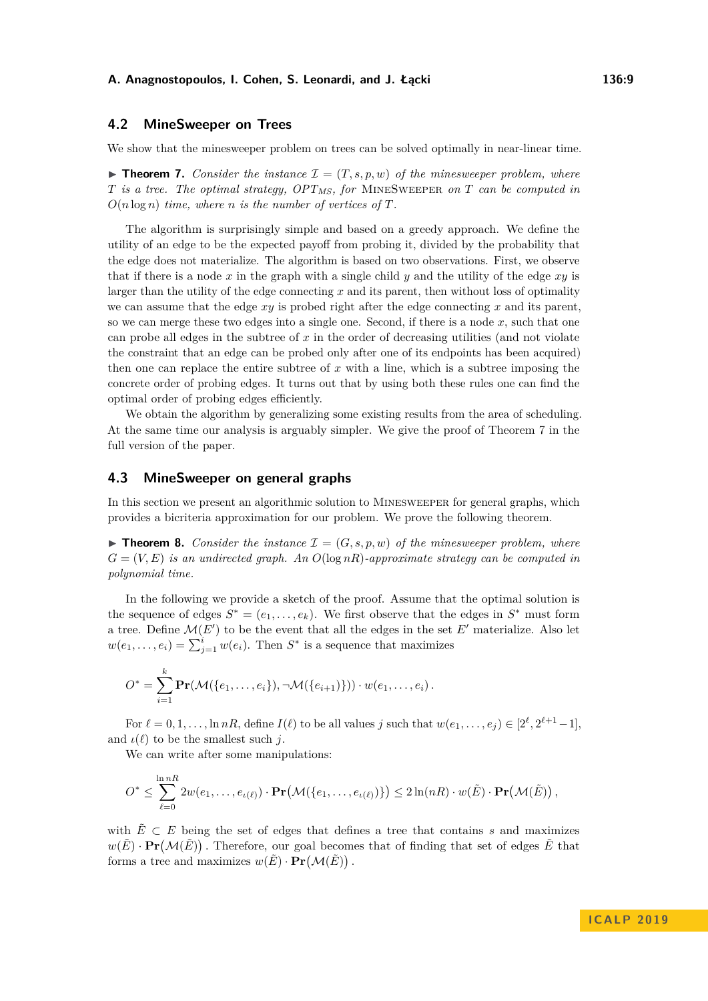# **4.2 MineSweeper on Trees**

<span id="page-8-0"></span>We show that the minesweeper problem on trees can be solved optimally in near-linear time.

 $\triangleright$  **Theorem 7.** *Consider the instance*  $\mathcal{I} = (T, s, p, w)$  *of the minesweeper problem, where T is a tree. The optimal strategy, OPTMS, for* MineSweeper *on T can be computed in*  $O(n \log n)$  *time, where n is the number of vertices of*  $T$ *.* 

The algorithm is surprisingly simple and based on a greedy approach. We define the utility of an edge to be the expected payoff from probing it, divided by the probability that the edge does not materialize. The algorithm is based on two observations. First, we observe that if there is a node *x* in the graph with a single child *y* and the utility of the edge *xy* is larger than the utility of the edge connecting *x* and its parent, then without loss of optimality we can assume that the edge  $xy$  is probed right after the edge connecting  $x$  and its parent. so we can merge these two edges into a single one. Second, if there is a node *x*, such that one can probe all edges in the subtree of *x* in the order of decreasing utilities (and not violate the constraint that an edge can be probed only after one of its endpoints has been acquired) then one can replace the entire subtree of *x* with a line, which is a subtree imposing the concrete order of probing edges. It turns out that by using both these rules one can find the optimal order of probing edges efficiently.

We obtain the algorithm by generalizing some existing results from the area of scheduling. At the same time our analysis is arguably simpler. We give the proof of Theorem [7](#page-8-0) in the full version of the paper.

## <span id="page-8-1"></span>**4.3 MineSweeper on general graphs**

In this section we present an algorithmic solution to Minesweeper for general graphs, which provides a bicriteria approximation for our problem. We prove the following theorem.

 $\triangleright$  **Theorem 8.** *Consider the instance*  $\mathcal{I} = (G, s, p, w)$  *of the minesweeper problem, where G* = (*V, E*) *is an undirected graph. An O*(log *nR*)*-approximate strategy can be computed in polynomial time.*

In the following we provide a sketch of the proof. Assume that the optimal solution is the sequence of edges  $S^* = (e_1, \ldots, e_k)$ . We first observe that the edges in  $S^*$  must form a tree. Define  $\mathcal{M}(E')$  to be the event that all the edges in the set  $E'$  materialize. Also let  $w(e_1, \ldots, e_i) = \sum_{j=1}^i w(e_i)$ . Then  $S^*$  is a sequence that maximizes

$$
O^* = \sum_{i=1}^k \mathbf{Pr}(\mathcal{M}(\{e_1,\ldots,e_i\}),\neg\mathcal{M}(\{e_{i+1})\})) \cdot w(e_1,\ldots,e_i).
$$

For  $\ell = 0, 1, \ldots, \ln nR$ , define  $I(\ell)$  to be all values *j* such that  $w(e_1, \ldots, e_j) \in [2^{\ell}, 2^{\ell+1}-1]$ , and  $\iota(\ell)$  to be the smallest such *j*.

We can write after some manipulations:

$$
O^* \leq \sum_{\ell=0}^{\ln nR} 2w(e_1,\ldots,e_{\iota(\ell)})\cdot \mathbf{Pr}(\mathcal{M}(\{e_1,\ldots,e_{\iota(\ell)})\}) \leq 2\ln(nR)\cdot w(\tilde{E})\cdot \mathbf{Pr}(\mathcal{M}(\tilde{E}))
$$

with  $\tilde{E} \subset E$  being the set of edges that defines a tree that contains *s* and maximizes  $w(\tilde{E}) \cdot \Pr(M(\tilde{E}))$ . Therefore, our goal becomes that of finding that set of edges  $\tilde{E}$  that forms a tree and maximizes  $w(\tilde{E}) \cdot \mathbf{Pr}(\mathcal{M}(\tilde{E}))$ .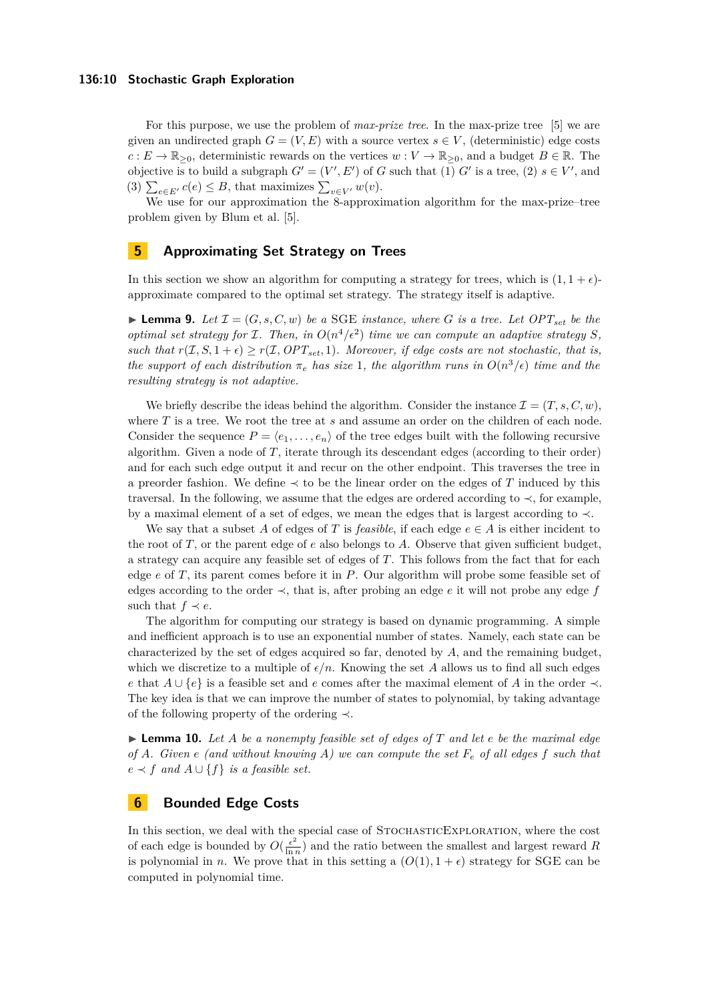For this purpose, we use the problem of *max-prize tree*. In the max-prize tree [\[5\]](#page-12-6) we are given an undirected graph  $G = (V, E)$  with a source vertex  $s \in V$ , (deterministic) edge costs  $c: E \to \mathbb{R}_{\geq 0}$ , deterministic rewards on the vertices  $w: V \to \mathbb{R}_{\geq 0}$ , and a budget  $B \in \mathbb{R}$ . The objective is to build a subgraph  $G' = (V', E')$  of *G* such that (1) *G*<sup>*'*</sup> is a tree, (2)  $s \in V'$ , and (3)  $\sum_{e \in E'} c(e) \leq B$ , that maximizes  $\sum_{v \in V'} w(v)$ .

We use for our approximation the 8-approximation algorithm for the max-prize–tree problem given by Blum et al. [\[5\]](#page-12-6).

# <span id="page-9-0"></span>**5 Approximating Set Strategy on Trees**

In this section we show an algorithm for computing a strategy for trees, which is  $(1, 1 + \epsilon)$ approximate compared to the optimal set strategy. The strategy itself is adaptive.

<span id="page-9-2"></span>**I Lemma 9.** Let  $\mathcal{I} = (G, s, C, w)$  be a SGE instance, where G is a tree. Let  $OPT_{set}$  be the *optimal set strategy for*  $I$ *. Then, in*  $O(n^4/\epsilon^2)$  *time we can compute an adaptive strategy*  $S$ *, such that*  $r(\mathcal{I}, S, 1+\epsilon) \geq r(\mathcal{I}, OPT_{set}, 1)$ *. Moreover, if edge costs are not stochastic, that is, the support of each distribution*  $\pi_e$  *has size* 1*, the algorithm runs in*  $O(n^3/\epsilon)$  *time and the resulting strategy is not adaptive.*

We briefly describe the ideas behind the algorithm. Consider the instance  $\mathcal{I} = (T, s, C, w)$ , where *T* is a tree. We root the tree at *s* and assume an order on the children of each node. Consider the sequence  $P = \langle e_1, \ldots, e_n \rangle$  of the tree edges built with the following recursive algorithm. Given a node of  $T$ , iterate through its descendant edges (according to their order) and for each such edge output it and recur on the other endpoint. This traverses the tree in a preorder fashion. We define  $\prec$  to be the linear order on the edges of T induced by this traversal. In the following, we assume that the edges are ordered according to  $\prec$ , for example, by a maximal element of a set of edges, we mean the edges that is largest according to ≺.

We say that a subset A of edges of T is *feasible*, if each edge  $e \in A$  is either incident to the root of  $T$ , or the parent edge of  $e$  also belongs to  $A$ . Observe that given sufficient budget, a strategy can acquire any feasible set of edges of *T*. This follows from the fact that for each edge *e* of *T*, its parent comes before it in *P*. Our algorithm will probe some feasible set of edges according to the order ≺, that is, after probing an edge *e* it will not probe any edge *f* such that  $f \prec e$ .

The algorithm for computing our strategy is based on dynamic programming. A simple and inefficient approach is to use an exponential number of states. Namely, each state can be characterized by the set of edges acquired so far, denoted by *A*, and the remaining budget, which we discretize to a multiple of  $\epsilon/n$ . Knowing the set *A* allows us to find all such edges *e* that *A* ∪ {*e*} is a feasible set and *e* comes after the maximal element of *A* in the order ≺. The key idea is that we can improve the number of states to polynomial, by taking advantage of the following property of the ordering ≺.

 $\blacktriangleright$  **Lemma 10.** Let A be a nonempty feasible set of edges of T and let e be the maximal edge *of A. Given e (and without knowing A) we can compute the set F<sup>e</sup> of all edges f such that*  $e \prec f$  *and*  $A \cup \{f\}$  *is a feasible set.* 

# <span id="page-9-1"></span>**6 Bounded Edge Costs**

In this section, we deal with the special case of STOCHASTICEXPLORATION, where the cost of each edge is bounded by  $O(\frac{\epsilon^2}{\ln n})$  $\frac{\epsilon^2}{\ln n}$  and the ratio between the smallest and largest reward *R* is polynomial in *n*. We prove that in this setting a  $(O(1), 1 + \epsilon)$  strategy for SGE can be computed in polynomial time.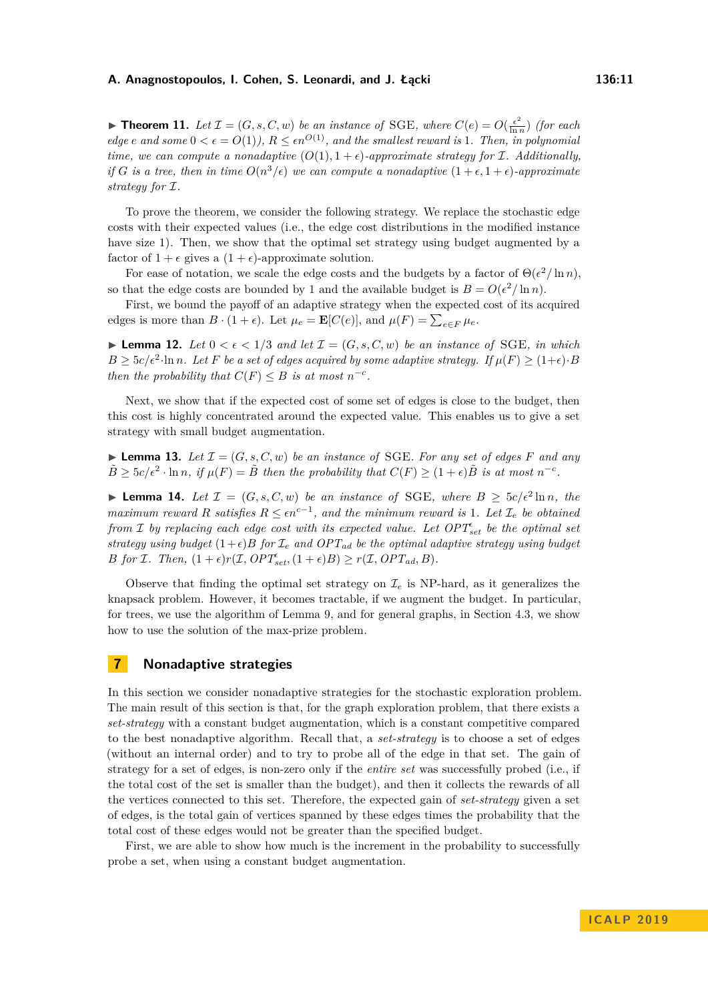**Theorem 11.** Let  $\mathcal{I} = (G, s, C, w)$  be an instance of SGE, where  $C(e) = O(\frac{\epsilon^2}{\ln n})$  $\frac{\epsilon^2}{\ln n}$ ) *(for each*) *edge e* and some  $0 < \epsilon = O(1)$ *),*  $R \leq \epsilon n^{O(1)}$ *, and the smallest reward is* 1*. Then, in polynomial time, we can compute a nonadaptive*  $(O(1), 1 + \epsilon)$ *-approximate strategy for* I. Additionally, *if G is a tree, then in time*  $O(n^3/\epsilon)$  *we can compute a nonadaptive*  $(1+\epsilon, 1+\epsilon)$ -*approximate strategy for* I*.*

To prove the theorem, we consider the following strategy. We replace the stochastic edge costs with their expected values (i.e., the edge cost distributions in the modified instance have size 1). Then, we show that the optimal set strategy using budget augmented by a factor of  $1 + \epsilon$  gives a  $(1 + \epsilon)$ -approximate solution.

For ease of notation, we scale the edge costs and the budgets by a factor of  $\Theta(\epsilon^2/\ln n)$ , so that the edge costs are bounded by 1 and the available budget is  $B = O(\epsilon^2/\ln n)$ .

First, we bound the payoff of an adaptive strategy when the expected cost of its acquired edges is more than  $B \cdot (1 + \epsilon)$ . Let  $\mu_e = \mathbf{E}[C(e)]$ , and  $\mu(F) = \sum_{e \in F} \mu_e$ .

**Lemma 12.** Let  $0 < \epsilon < 1/3$  and let  $\mathcal{I} = (G, s, C, w)$  be an instance of SGE, in which  $B \geq 5c/\epsilon^2 \cdot \ln n$ *. Let F be a set of edges acquired by some adaptive strategy. If*  $\mu(F) \geq (1+\epsilon) \cdot B$ *then the probability that*  $C(F) \leq B$  *is at most*  $n^{-c}$ *.* 

Next, we show that if the expected cost of some set of edges is close to the budget, then this cost is highly concentrated around the expected value. This enables us to give a set strategy with small budget augmentation.

**I Lemma 13.** Let  $\mathcal{I} = (G, s, C, w)$  be an instance of SGE. For any set of edges F and any  $\tilde{B} \geq 5c/\epsilon^2 \cdot \ln n$ , if  $\mu(F) = \tilde{B}$  then the probability that  $C(F) \geq (1+\epsilon)\tilde{B}$  is at most  $n^{-c}$ .

▶ **Lemma 14.** Let  $\mathcal{I} = (G, s, C, w)$  be an instance of SGE, where  $B \geq 5c/\epsilon^2 \ln n$ , the *maximum reward R satisfies*  $R \leq \epsilon n^{c-1}$ , and the minimum reward is 1*. Let*  $\mathcal{I}_e$  be obtained *from* I *by replacing each edge cost with its expected value. Let OPT set be the optimal set strategy using budget*  $(1+\epsilon)B$  *for*  $\mathcal{I}_e$  *and*  $OPT_{ad}$  *be the optimal adaptive strategy using budget B for I. Then,*  $(1 + \epsilon)r(\mathcal{I}, OPT_{set}^{\epsilon}, (1 + \epsilon)B) \ge r(\mathcal{I}, OPT_{ad}, B)$ *.* 

Observe that finding the optimal set strategy on  $\mathcal{I}_e$  is NP-hard, as it generalizes the knapsack problem. However, it becomes tractable, if we augment the budget. In particular, for trees, we use the algorithm of Lemma [9,](#page-9-2) and for general graphs, in Section [4.3,](#page-8-1) we show how to use the solution of the max-prize problem.

# <span id="page-10-0"></span>**7 Nonadaptive strategies**

In this section we consider nonadaptive strategies for the stochastic exploration problem. The main result of this section is that, for the graph exploration problem, that there exists a *set-strategy* with a constant budget augmentation, which is a constant competitive compared to the best nonadaptive algorithm. Recall that, a *set-strategy* is to choose a set of edges (without an internal order) and to try to probe all of the edge in that set. The gain of strategy for a set of edges, is non-zero only if the *entire set* was successfully probed (i.e., if the total cost of the set is smaller than the budget), and then it collects the rewards of all the vertices connected to this set. Therefore, the expected gain of *set-strategy* given a set of edges, is the total gain of vertices spanned by these edges times the probability that the total cost of these edges would not be greater than the specified budget.

First, we are able to show how much is the increment in the probability to successfully probe a set, when using a constant budget augmentation.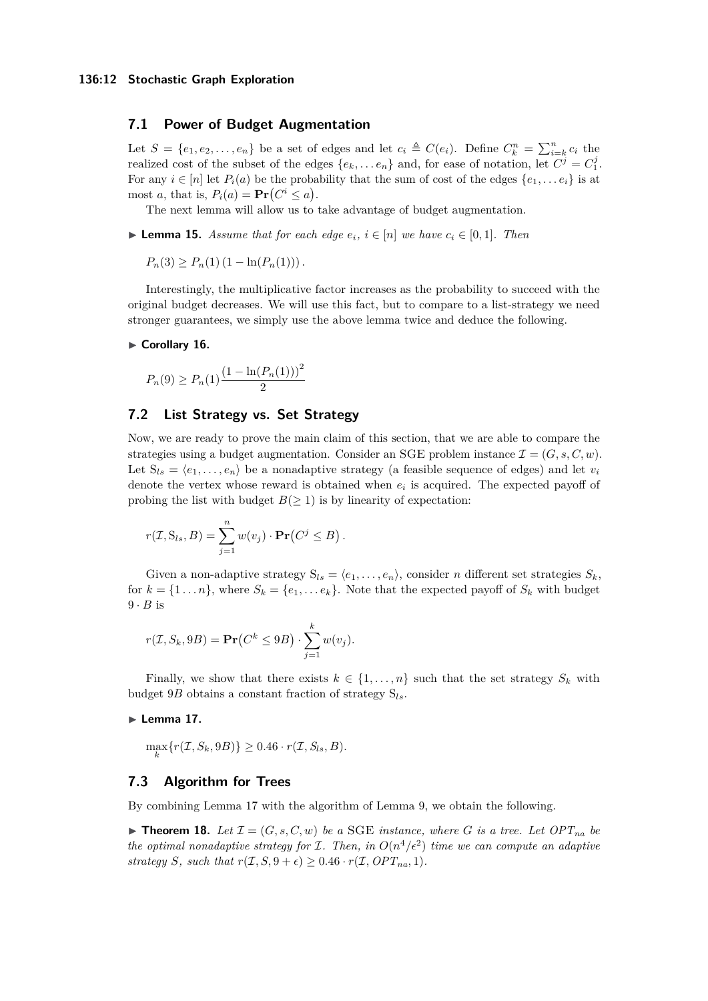# **7.1 Power of Budget Augmentation**

Let  $S = \{e_1, e_2, \ldots, e_n\}$  be a set of edges and let  $c_i \triangleq C(e_i)$ . Define  $C_k^n = \sum_{i=k}^n c_i$  the realized cost of the subset of the edges  $\{e_k, \ldots e_n\}$  and, for ease of notation, let  $C^j = C_1^j$ . For any  $i \in [n]$  let  $P_i(a)$  be the probability that the sum of cost of the edges  $\{e_1, \ldots e_i\}$  is at most *a*, that is,  $P_i(a) = \mathbf{Pr}(C^i \leq a)$ .

The next lemma will allow us to take advantage of budget augmentation.

▶ **Lemma 15.** *Assume that for each edge*  $e_i$ ,  $i \in [n]$  *we have*  $c_i \in [0,1]$ *. Then* 

 $P_n(3) > P_n(1) (1 - \ln(P_n(1)))$ .

Interestingly, the multiplicative factor increases as the probability to succeed with the original budget decreases. We will use this fact, but to compare to a list-strategy we need stronger guarantees, we simply use the above lemma twice and deduce the following.

#### ► Corollary 16.

$$
P_n(9) \ge P_n(1) \frac{\left(1 - \ln(P_n(1))\right)^2}{2}
$$

# **7.2 List Strategy vs. Set Strategy**

Now, we are ready to prove the main claim of this section, that we are able to compare the strategies using a budget augmentation. Consider an SGE problem instance  $\mathcal{I} = (G, s, C, w)$ . Let  $S_{ls} = \langle e_1, \ldots, e_n \rangle$  be a nonadaptive strategy (a feasible sequence of edges) and let  $v_i$ denote the vertex whose reward is obtained when  $e_i$  is acquired. The expected payoff of probing the list with budget  $B(\geq 1)$  is by linearity of expectation:

$$
r(\mathcal{I},\mathbf{S}_{ls},B)=\sum_{j=1}^n w(v_j)\cdot \mathbf{Pr}(C^j\leq B).
$$

Given a non-adaptive strategy  $S_{ls} = \langle e_1, \ldots, e_n \rangle$ , consider *n* different set strategies  $S_k$ , for  $k = \{1 \dots n\}$ , where  $S_k = \{e_1, \dots e_k\}$ . Note that the expected payoff of  $S_k$  with budget  $9 \cdot B$  is

$$
r(\mathcal{I}, S_k, 9B) = \mathbf{Pr}(C^k \le 9B) \cdot \sum_{j=1}^k w(v_j).
$$

Finally, we show that there exists  $k \in \{1, \ldots, n\}$  such that the set strategy  $S_k$  with budget 9*B* obtains a constant fraction of strategy S*ls*.

#### <span id="page-11-0"></span> $\blacktriangleright$  Lemma 17.

 $\max_{k} \{ r(\mathcal{I}, S_k, 9B) \} \geq 0.46 \cdot r(\mathcal{I}, S_{ls}, B).$ 

# **7.3 Algorithm for Trees**

By combining Lemma [17](#page-11-0) with the algorithm of Lemma [9,](#page-9-2) we obtain the following.

 $\blacktriangleright$  **Theorem 18.** Let  $\mathcal{I} = (G, s, C, w)$  be a SGE instance, where G is a tree. Let  $OPT_{na}$  be *the optimal nonadaptive strategy for*  $I$ *. Then, in*  $O(n^4/\epsilon^2)$  *time we can compute an adaptive strategy S, such that*  $r(\mathcal{I}, S, 9 + \epsilon) \geq 0.46 \cdot r(\mathcal{I}, OPT_{na}, 1)$ *.*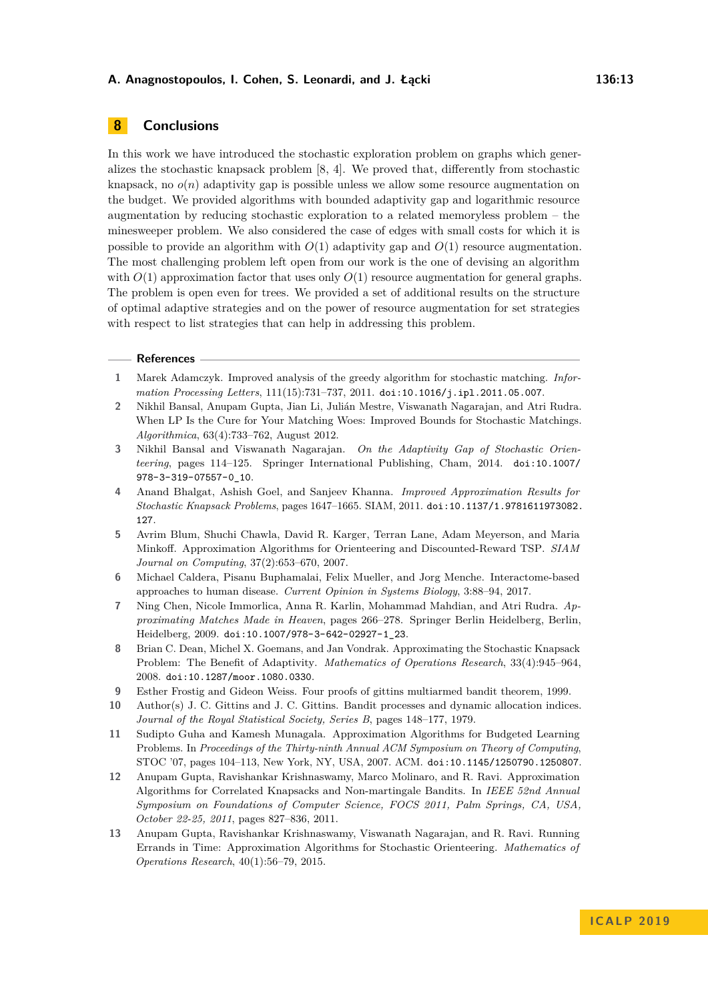# **8 Conclusions**

In this work we have introduced the stochastic exploration problem on graphs which generalizes the stochastic knapsack problem [\[8,](#page-12-2) [4\]](#page-12-1). We proved that, differently from stochastic knapsack, no  $o(n)$  adaptivity gap is possible unless we allow some resource augmentation on the budget. We provided algorithms with bounded adaptivity gap and logarithmic resource augmentation by reducing stochastic exploration to a related memoryless problem – the minesweeper problem. We also considered the case of edges with small costs for which it is possible to provide an algorithm with  $O(1)$  adaptivity gap and  $O(1)$  resource augmentation. The most challenging problem left open from our work is the one of devising an algorithm with  $O(1)$  approximation factor that uses only  $O(1)$  resource augmentation for general graphs. The problem is open even for trees. We provided a set of additional results on the structure of optimal adaptive strategies and on the power of resource augmentation for set strategies with respect to list strategies that can help in addressing this problem.

#### **References**

- <span id="page-12-9"></span>**1** Marek Adamczyk. Improved analysis of the greedy algorithm for stochastic matching. *Information Processing Letters*, 111(15):731–737, 2011. [doi:10.1016/j.ipl.2011.05.007](http://dx.doi.org/10.1016/j.ipl.2011.05.007).
- <span id="page-12-10"></span>**2** Nikhil Bansal, Anupam Gupta, Jian Li, Julián Mestre, Viswanath Nagarajan, and Atri Rudra. When LP Is the Cure for Your Matching Woes: Improved Bounds for Stochastic Matchings. *Algorithmica*, 63(4):733–762, August 2012.
- <span id="page-12-11"></span>**3** Nikhil Bansal and Viswanath Nagarajan. *On the Adaptivity Gap of Stochastic Orienteering*, pages 114–125. Springer International Publishing, Cham, 2014. [doi:10.1007/](http://dx.doi.org/10.1007/978-3-319-07557-0_10) [978-3-319-07557-0\\_10](http://dx.doi.org/10.1007/978-3-319-07557-0_10).
- <span id="page-12-1"></span>**4** Anand Bhalgat, Ashish Goel, and Sanjeev Khanna. *Improved Approximation Results for Stochastic Knapsack Problems*, pages 1647–1665. SIAM, 2011. [doi:10.1137/1.9781611973082.](http://dx.doi.org/10.1137/1.9781611973082.127) [127](http://dx.doi.org/10.1137/1.9781611973082.127).
- <span id="page-12-6"></span>**5** Avrim Blum, Shuchi Chawla, David R. Karger, Terran Lane, Adam Meyerson, and Maria Minkoff. Approximation Algorithms for Orienteering and Discounted-Reward TSP. *SIAM Journal on Computing*, 37(2):653–670, 2007.
- <span id="page-12-0"></span>**6** Michael Caldera, Pisanu Buphamalai, Felix Mueller, and Jorg Menche. Interactome-based approaches to human disease. *Current Opinion in Systems Biology*, 3:88–94, 2017.
- <span id="page-12-3"></span>**7** Ning Chen, Nicole Immorlica, Anna R. Karlin, Mohammad Mahdian, and Atri Rudra. *Approximating Matches Made in Heaven*, pages 266–278. Springer Berlin Heidelberg, Berlin, Heidelberg, 2009. [doi:10.1007/978-3-642-02927-1\\_23](http://dx.doi.org/10.1007/978-3-642-02927-1_23).
- <span id="page-12-2"></span>**8** Brian C. Dean, Michel X. Goemans, and Jan Vondrak. Approximating the Stochastic Knapsack Problem: The Benefit of Adaptivity. *Mathematics of Operations Research*, 33(4):945–964, 2008. [doi:10.1287/moor.1080.0330](http://dx.doi.org/10.1287/moor.1080.0330).
- <span id="page-12-5"></span>**9** Esther Frostig and Gideon Weiss. Four proofs of gittins multiarmed bandit theorem, 1999.
- <span id="page-12-4"></span>**10** Author(s) J. C. Gittins and J. C. Gittins. Bandit processes and dynamic allocation indices. *Journal of the Royal Statistical Society, Series B*, pages 148–177, 1979.
- <span id="page-12-8"></span>**11** Sudipto Guha and Kamesh Munagala. Approximation Algorithms for Budgeted Learning Problems. In *Proceedings of the Thirty-ninth Annual ACM Symposium on Theory of Computing*, STOC '07, pages 104–113, New York, NY, USA, 2007. ACM. [doi:10.1145/1250790.1250807](http://dx.doi.org/10.1145/1250790.1250807).
- <span id="page-12-7"></span>**12** Anupam Gupta, Ravishankar Krishnaswamy, Marco Molinaro, and R. Ravi. Approximation Algorithms for Correlated Knapsacks and Non-martingale Bandits. In *IEEE 52nd Annual Symposium on Foundations of Computer Science, FOCS 2011, Palm Springs, CA, USA, October 22-25, 2011*, pages 827–836, 2011.
- <span id="page-12-12"></span>**13** Anupam Gupta, Ravishankar Krishnaswamy, Viswanath Nagarajan, and R. Ravi. Running Errands in Time: Approximation Algorithms for Stochastic Orienteering. *Mathematics of Operations Research*, 40(1):56–79, 2015.